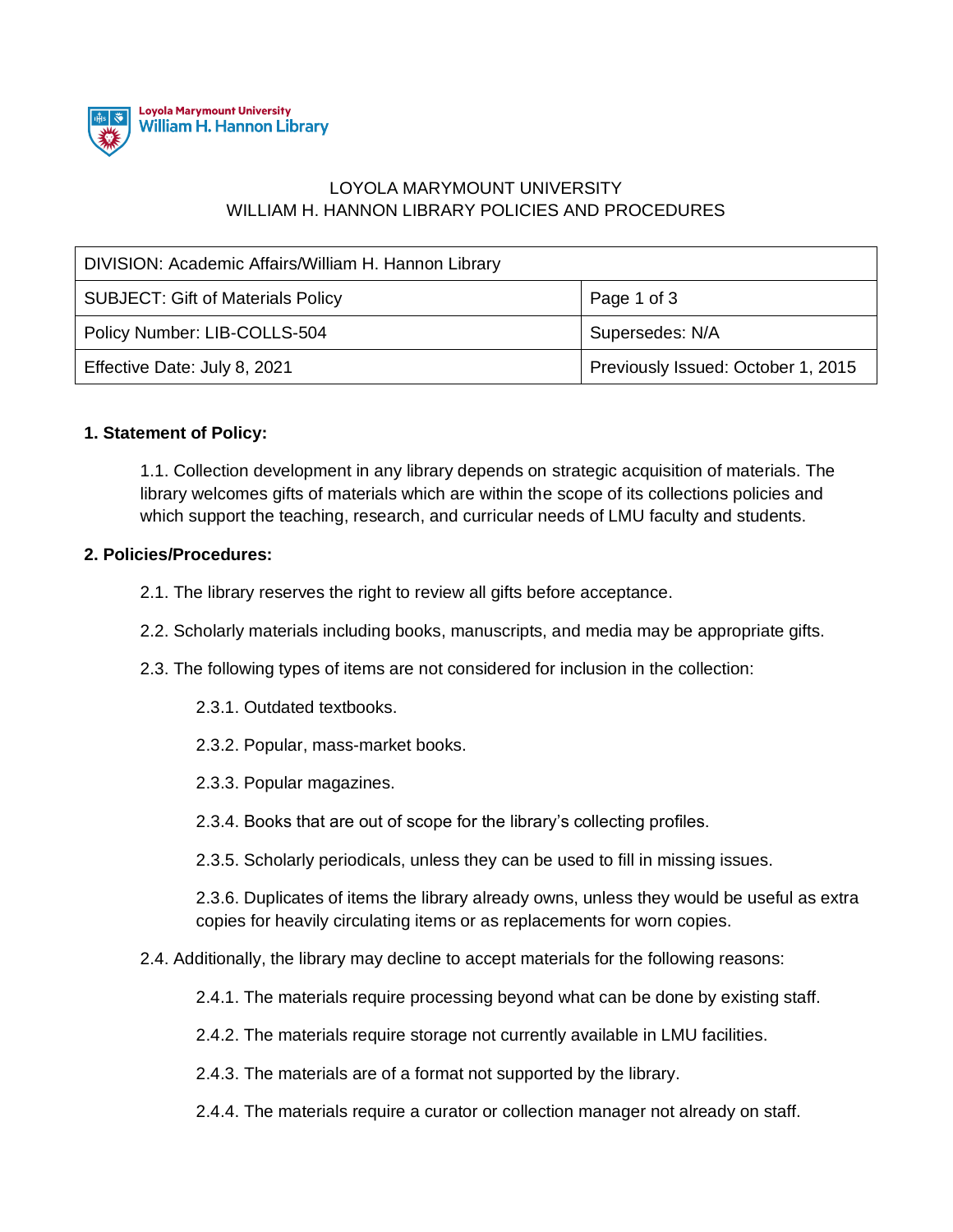

## LOYOLA MARYMOUNT UNIVERSITY WILLIAM H. HANNON LIBRARY POLICIES AND PROCEDURES

| DIVISION: Academic Affairs/William H. Hannon Library |                                    |
|------------------------------------------------------|------------------------------------|
| <b>SUBJECT: Gift of Materials Policy</b>             | Page 1 of 3                        |
| Policy Number: LIB-COLLS-504                         | Supersedes: N/A                    |
| Effective Date: July 8, 2021                         | Previously Issued: October 1, 2015 |

## **1. Statement of Policy:**

1.1. Collection development in any library depends on strategic acquisition of materials. The library welcomes gifts of materials which are within the scope of its collections policies and which support the teaching, research, and curricular needs of LMU faculty and students.

## **2. Policies/Procedures:**

- 2.1. The library reserves the right to review all gifts before acceptance.
- 2.2. Scholarly materials including books, manuscripts, and media may be appropriate gifts.
- 2.3. The following types of items are not considered for inclusion in the collection:
	- 2.3.1. Outdated textbooks.
	- 2.3.2. Popular, mass-market books.
	- 2.3.3. Popular magazines.
	- 2.3.4. Books that are out of scope for the library's collecting profiles.
	- 2.3.5. Scholarly periodicals, unless they can be used to fill in missing issues.

2.3.6. Duplicates of items the library already owns, unless they would be useful as extra copies for heavily circulating items or as replacements for worn copies.

- 2.4. Additionally, the library may decline to accept materials for the following reasons:
	- 2.4.1. The materials require processing beyond what can be done by existing staff.
	- 2.4.2. The materials require storage not currently available in LMU facilities.
	- 2.4.3. The materials are of a format not supported by the library.
	- 2.4.4. The materials require a curator or collection manager not already on staff.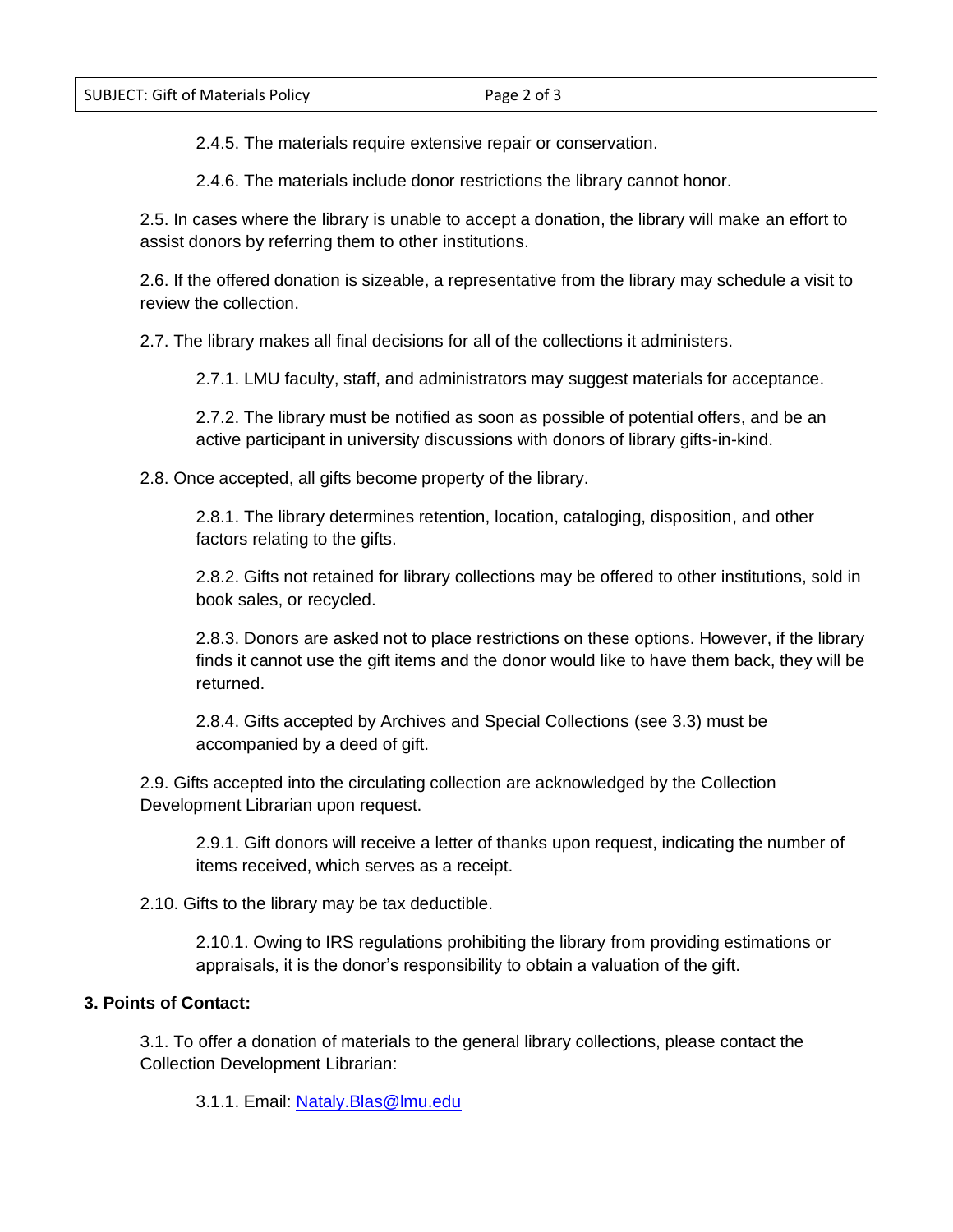2.4.5. The materials require extensive repair or conservation.

2.4.6. The materials include donor restrictions the library cannot honor.

2.5. In cases where the library is unable to accept a donation, the library will make an effort to assist donors by referring them to other institutions.

2.6. If the offered donation is sizeable, a representative from the library may schedule a visit to review the collection.

2.7. The library makes all final decisions for all of the collections it administers.

2.7.1. LMU faculty, staff, and administrators may suggest materials for acceptance.

2.7.2. The library must be notified as soon as possible of potential offers, and be an active participant in university discussions with donors of library gifts-in-kind.

2.8. Once accepted, all gifts become property of the library.

2.8.1. The library determines retention, location, cataloging, disposition, and other factors relating to the gifts.

2.8.2. Gifts not retained for library collections may be offered to other institutions, sold in book sales, or recycled.

2.8.3. Donors are asked not to place restrictions on these options. However, if the library finds it cannot use the gift items and the donor would like to have them back, they will be returned.

2.8.4. Gifts accepted by Archives and Special Collections (see 3.3) must be accompanied by a deed of gift.

2.9. Gifts accepted into the circulating collection are acknowledged by the Collection Development Librarian upon request.

2.9.1. Gift donors will receive a letter of thanks upon request, indicating the number of items received, which serves as a receipt.

2.10. Gifts to the library may be tax deductible.

2.10.1. Owing to IRS regulations prohibiting the library from providing estimations or appraisals, it is the donor's responsibility to obtain a valuation of the gift.

## **3. Points of Contact:**

3.1. To offer a donation of materials to the general library collections, please contact the Collection Development Librarian:

3.1.1. Email: Nataly. Blas@lmu.edu